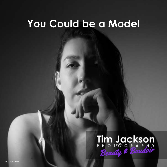# **You Could be a Model**

# Tim Jackson<br>Beauty & Boudoir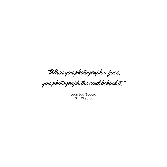"When you photograph a face,

you photograph the soul behind it.  $^{\prime}$ 

Jean-Luc Godard Film Director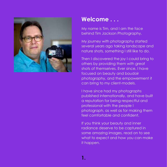

# **Welcome . . .**

My name is Tim, and I am the face behind Tim Jackson Photography.

My journey with photography started several years ago taking landscape and nature shots, something I still like to do.

Then I discovered the joy I could bring to others by providing them with great shots of themselves. Ever since, I have focused on beauty and boudoir photography, and the empowerment it can bring to my client-models.

I have since had my photographs published internationally, and have built a reputation for being respectful and professional with the people I photograph, as well as for making them feel comfortable and confident.

If you think your beauty and inner radiance deserve to be captured in some amazing images, read on to see what to expect and how you can make it happen.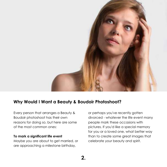

# **Why Would I Want a Beauty & Boudoir Photoshoot?**

Every person that arranges a Beauty & Boudoir photoshoot has their own reasons for doing so, but here are some of the most common ones:

#### **To mark a significant life event**

Maybe you are about to get married, or are approaching a milestone birthday,

or perhaps you've recently gotten divorced - whatever the life event many people mark these occasions with pictures. If you'd like a special memory for you or a loved one, what better way than to create some great images that celebrate your beauty and spirit.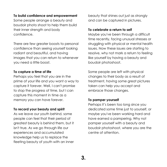# **To build confidence and empowerment**

Some people arrange a beauty and boudoir photo shoot to help them build their inner strength and body confidence.

There are few greater boosts to personal confidence than seeing yourself looking radiant and beautiful, and having images that you can return to whenever you need a little boost.

# **To capture a time of life**

Perhaps you feel that you are in the prime of your life and you want a way to capture it forever. Well, I can't promise to stop the progress of time, but I can capture this moment in time as a memory you can have forever.

# **To record your beauty and spirit**

As we leave our youth behind, some people can feel that their period of greatest beauty is behind them, but it isn't true. As we go through life our experiences and accumulated knowledge help us to replace the fleeting beauty of youth with an inner

beauty that shines out just as strongly and can be captured in pictures.

#### **To celebrate a return to self**

Maybe you've been through a difficult time recently, facing unusual stresses or struggling with physical or mental health issues. Now these issues are starting to resolve, why not mark a return to feeling like yourself by having a beauty and boudoir photoshoot.

Some people are left with physical changes to their body as a result of treatment, having some great pictures taken can help you accept and embrace those changes.

#### **To pamper yourself**

Perhaps it's been too long since you dedicated some time just to yourself, or maybe you've been working hard and have earned a pampering. Why not pamper yourself with a beauty and boudoir photoshoot, where you are the centre of attention.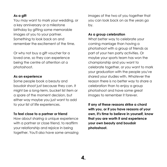# **As a gift**

You may want to mark your wedding, or a key anniversary or a milestone birthday by gifting some memorable images of you to your partner. Something to look back on and remember the excitement of the time.

Or why not buy a gift voucher for a loved one, so they can experience being the centre of attention at a photoshoot.

#### **As an experience**

Some people book a beauty and boudoir shoot just because they can. It might be a long-term, bucket list item or a spare of the moment decision, but either way maybe you just want to add to your list of life experiences.

# **To feel close to a partner or friend**

How about sharing a unique experience with a partner or close friend, to reaffirm your relationship and rejoice in being together. You'll also have some amazing images of the two of you together that you can look back on as the years go by.

#### **As a group celebration**

What better way to celebrate your coming marriage than having a photoshoot with a group of friends as part of your hen party activities. Or maybe your sports team has won the championship and you want to celebrate together, or you want to mark your graduation with the people you've shared your studies with. Whatever the reason there is no better way to share a celebration than to enjoy a group photoshoot and have some great images to remember it forever.

**If any of these reasons strike a chord with you, or if you have reasons of your own, it's time to believe in yourself, know that you are worth it and experience your own beauty and boudoir photoshoot.**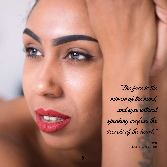

"The face is the mirror of the mind, and eyes without speaking confess the secrets of the heart."

> St Jerome Theologian & Historian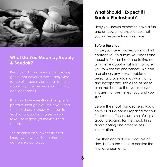

# **What Do You Mean by Beauty & Boudoir?**

Beauty and boudoir is a photography genre that covers a reasonably wide range of image styles, but all of them about capture the real you in strong, confident poses.

It can include everything from pretty portraits, through pictures in your best summer dress or snuggly jumper to traditional boudoir images in your favourite lingerie (or maybe just a sheet).

The decision about what styles of images you would like to shoot is completely up to you.

# **What Should I Expect if I Book a Photoshoot?**

Firstly you should expect to have a fun and empowering experience, that you will treasure for a long time.

# **Before the shoot**

Once you have booked a shoot, I will contact you to discuss your ideas and thoughts for the shoot and to find out a bit more about what has motivated you to want the photoshoot. We can also discuss any looks, hobbies or personal props you may want to try and incorporate. This all helps me to plan the shoot so that you receive images that best reflect you and your style.

Before the shoot I will also send you a copy of our e-book 'Preparing for Your Photoshoot'. This includes helpful tips about preparing for the shoot, hints about posing and other helpful information.

I will then contact you a couple of days before the shoot to confirm the final arrangements.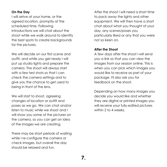# **On the Day**

I will arrive at your home, or the agreed location, promptly at the scheduled time. Following introductions we will chat about the shoot while we walk around to identify the best spots to create backgrounds for the pictures.

We will decide on our first scene and outfit, and while you get ready I will put up studio lights and prepare the camera. The shoot will always start with a few test shots so that I can check the camera settings and to give you the chance to get used to being in front of the lens.

We will start to shoot, agreeing changes of location or outfit and poses as we go. We can chat and/or listen to music while we shoot and I will show you some of the pictures on the camera, so you can get an idea of the images we are creating.

There may be short periods of waiting while I re-configure the camera or check images, but overall the day should be relaxed and fun.

After the shoot I will need a short time to pack away the lights and other equipment. We will then have a short chat about what you thought of your day, any scenes/poses you particularly liked or any that you were not so keen on.

# **After the Shoot**

A few days after the shoot I will send you a link so that you can view the images from our session online. This is when you can pick which images you would like to receive as part of your package. I'll also ask you for feedback on the shoot.

Depending on how many images you decide you would like and whether they are digital or printed images you will receive your fully-edited pictures within 2 to 4 weeks.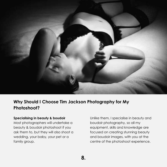

# **Why Should I Choose Tim Jackson Photography for My Photoshoot?**

#### **Specialising in beauty & boudoir**

Most photographers will undertake a beauty & boudoir photoshoot if you ask them to, but they will also shoot a wedding, your baby, your pet or a family group.

Unlike them, I specialise in beauty and boudoir photography, so all my equipment, skills and knowledge are focused on creating stunning beauty and boudoir images, with you at the centre of the photoshoot experience.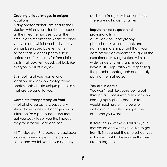# **Creating unique images in unique locations**

Many photographers are tied to their studios, which is easy for them because all their gear remains set up all the time. It also means that whatever chair you sit in and whichever bed you lay on has been used by every other person that had their photo taken before you. This makes for formulaic shots that look very good, but look like everybody else's images.

By shooting at your home, or on location, Tim Jackson Photography photoshoots create unique photo sets that are personal to you.

# **Complete transparency up front**

A lot of photographers, especially studio based ones, will charge you an initial fee for a photoshoot and then get you back to sell you the images they took for an additional fee.

All Tim Jackson Photography packages include some images in the original price, and we tell you how much any

additional images will cost up front. There are no hidden charges.

# **Reputation for respect and professionalism**

A Tim Jackson Photography photoshoot is your moment, and nothing is more important than your comfort and enjoyment throughout the experience. Having worked with a wide range of clients and models, I have built a reputation for respecting the people I photograph and quickly putting them at ease.

#### **You are in control**

You won't feel like you're being put through a process with a Tim Jackson Photography photoshoot - in fact, I would much prefer it to be a joint collaboration, so that you get the outcome you want.

Before the shoot we will discuss your motivation and what you'd like to get from it. Throughout the photoshoot you will have input to the images that we create together.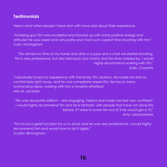# **Testimonials**

Here's what other people I have shot with have said about their experience.

"Amazing guy! Tim was wonderful and showed up with some positive energy and attitude! He was sweet and very polite and I had such a great time shooting with him." *Cam, Nottingham*

"Tim arrived on time at my home and after a cuppa and a chat we started shooting. Tim is very professional, but also laid back and chatty and the time whizzed by. I would highly recommend working with Tim." *Kylie, Coventry*

"I absolutely loved my experience with the lovely Tim Jackson. He made me feel so comfortable right away, and he was completely respectful. He has so many outstanding ideas, working with him is honestly effortless!" *Miss M, Leicester*

"Tim was absolutely brilliant - very engaging, helpful and made me feel very confident. I would highly recommend Tim and he is fantastic with people that have not done this before. If I were to score him out of 5 he would get a 10." *Amy, Leicestershire*

"Tim found a great location for us to shoot and he was very professional. I would highly recommend him and would love to do it again." *Scarlet, Birmingham*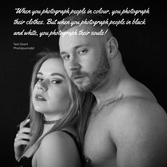"When you photograph people in colour, you photograph their clothes. But when you photograph people in black and white, you photograph their souls!

**11.**

Ted Grant Photojournalist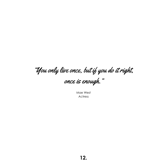"You only live once, but if you do it right, once is enough."

Mae West Actress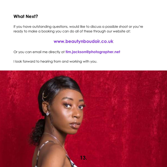# **What Next?**

If you have outstanding questions, would like to discuss a possible shoot or you're ready to make a booking you can do all of these through our website at:

# **[www.beautynboudoir.co.uk](http://www.beautynboudoir.co.uk/)**

Or you can email me directly at **tim.jackson@photographer.net**

I look forward to hearing from and working with you.